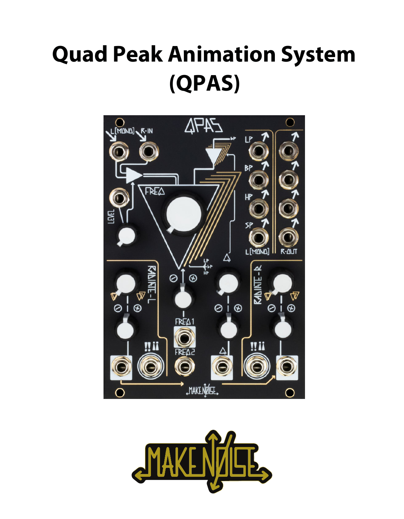# **Quad Peak Animation System (QPAS)**



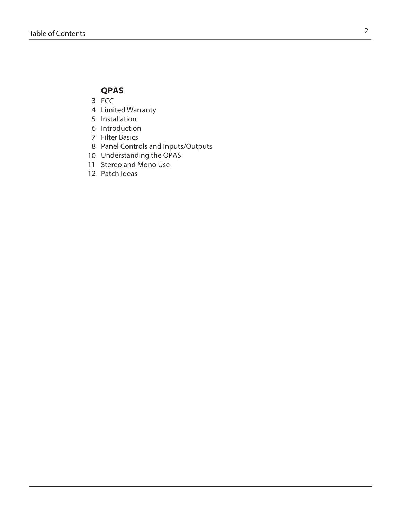## **QPAS**

- 3 FCC
- Limited Warranty 345678
- 5 Installation
- 6 Introduction
- 7 Filter Basics
- Panel Controls and Inputs/Outputs
- 10 Understanding the QPAS
- 11 Stereo and Mono Use
- 12 Patch Ideas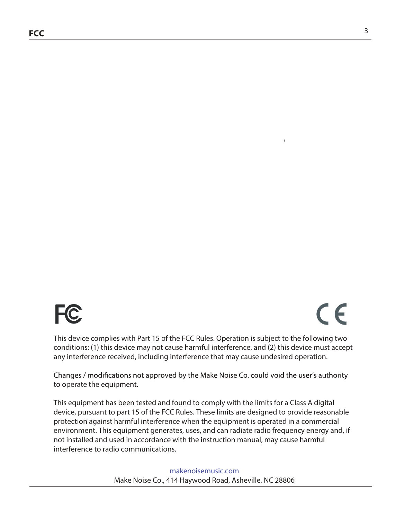

# $C<sub>6</sub>$

This device complies with Part 15 of the FCC Rules. Operation is subject to the following two conditions: (1) this device may not cause harmful interference, and (2) this device must accept any interference received, including interference that may cause undesired operation.

Changes / modifications not approved by the Make Noise Co. could void the user's authority to operate the equipment.

This equipment has been tested and found to comply with the limits for a Class A digital device, pursuant to part 15 of the FCC Rules. These limits are designed to provide reasonable protection against harmful interference when the equipment is operated in a commercial environment. This equipment generates, uses, and can radiate radio frequency energy and, if not installed and used in accordance with the instruction manual, may cause harmful interference to radio communications.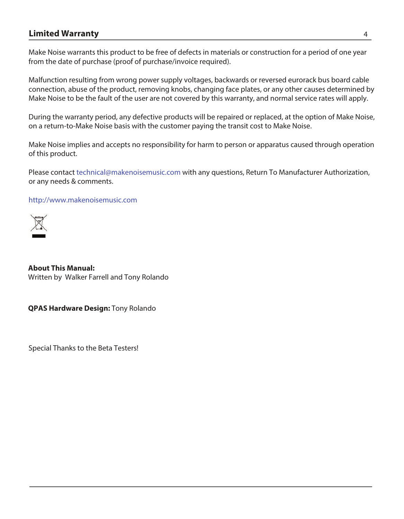## **Limited Warranty** 4

Make Noise warrants this product to be free of defects in materials or construction for a period of one year from the date of purchase (proof of purchase/invoice required).

Malfunction resulting from wrong power supply voltages, backwards or reversed eurorack bus board cable connection, abuse of the product, removing knobs, changing face plates, or any other causes determined by Make Noise to be the fault of the user are not covered by this warranty, and normal service rates will apply.

During the warranty period, any defective products will be repaired or replaced, at the option of Make Noise, on a return-to-Make Noise basis with the customer paying the transit cost to Make Noise.

Make Noise implies and accepts no responsibility for harm to person or apparatus caused through operation of this product.

Please contact technical@makenoisemusic.com with any questions, Return To Manufacturer Authorization, or any needs & comments.

http://www.makenoisemusic.com



**About This Manual:** Written by Walker Farrell and Tony Rolando

**QPAS Hardware Design:** Tony Rolando

Special Thanks to the Beta Testers!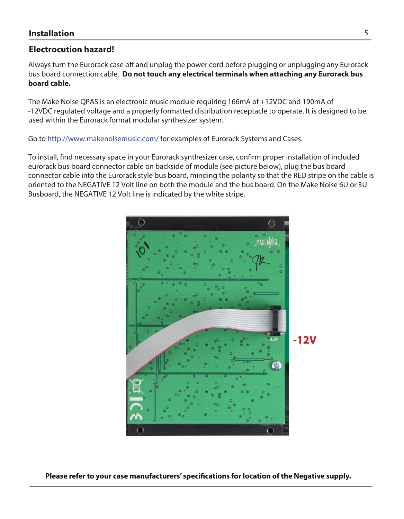## **Electrocution hazard!**

Always turn the Eurorack case off and unplug the power cord before plugging or unplugging any Eurorack bus board connection cable. **Do not touch any electrical terminals when attaching any Eurorack bus board cable.** 

The Make Noise QPAS is an electronic music module requiring 166mA of +12VDC and 190mA of -12VDC regulated voltage and a properly formatted distribution receptacle to operate. It is designed to be used within the Eurorack format modular synthesizer system.

Go to http://www.makenoisemusic.com/ for examples of Eurorack Systems and Cases.

To install, fnd necessary space in your Eurorack synthesizer case, confrm proper installation of included eurorack bus board connector cable on backside of module (see picture below), plug the bus board connector cable into the Eurorack style bus board, minding the polarity so that the RED stripe on the cable is oriented to the NEGATIVE 12 Volt line on both the module and the bus board. On the Make Noise 6U or 3U Busboard, the NEGATIVE 12 Volt line is indicated by the white stripe.



**Please refer to your case manufacturers' specifcations for location of the Negative supply.**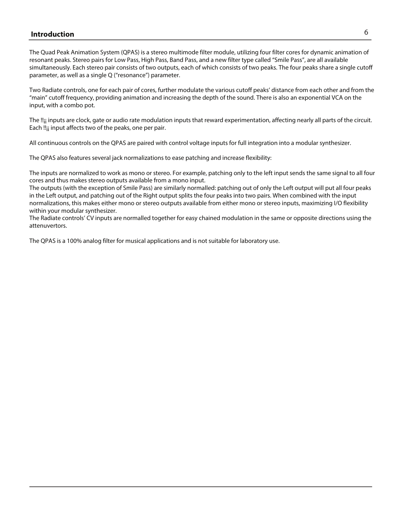## **Production** the contract of the contract of the contract of the contract of the contract of the contract of the contract of the contract of the contract of the contract of the contract of the contract of the contract of t

The Quad Peak Animation System (QPAS) is a stereo multimode filter module, utilizing four filter cores for dynamic animation of resonant peaks. Stereo pairs for Low Pass, High Pass, Band Pass, and a new filter type called "Smile Pass", are all available simultaneously. Each stereo pair consists of two outputs, each of which consists of two peaks. The four peaks share a single cutoff parameter, as well as a single Q ("resonance") parameter.

Two Radiate controls, one for each pair of cores, further modulate the various cutoff peaks' distance from each other and from the "main" cutoff frequency, providing animation and increasing the depth of the sound. There is also an exponential VCA on the input, with a combo pot.

The !!; inputs are clock, gate or audio rate modulation inputs that reward experimentation, affecting nearly all parts of the circuit. Each !!; input affects two of the peaks, one per pair.

All continuous controls on the QPAS are paired with control voltage inputs for full integration into a modular synthesizer.

The QPAS also features several jack normalizations to ease patching and increase flexibility:

The inputs are normalized to work as mono or stereo. For example, patching only to the left input sends the same signal to all four cores and thus makes stereo outputs available from a mono input.

The outputs (with the exception of Smile Pass) are similarly normalled: patching out of only the Left output will put all four peaks in the Left output, and patching out of the Right output splits the four peaks into two pairs. When combined with the input normalizations, this makes either mono or stereo outputs available from either mono or stereo inputs, maximizing I/O flexibility within your modular synthesizer.

The Radiate controls' CV inputs are normalled together for easy chained modulation in the same or opposite directions using the attenuvertors.

The QPAS is a 100% analog filter for musical applications and is not suitable for laboratory use.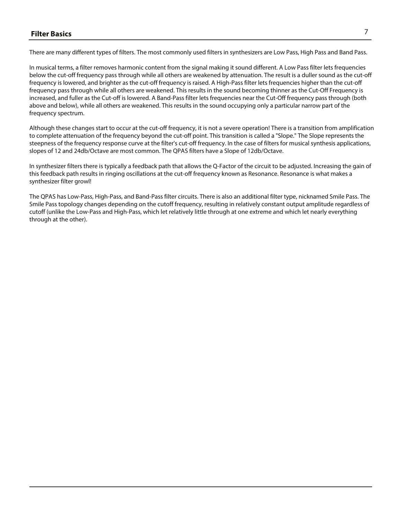### **Filter Basics** 7

There are many different types of filters. The most commonly used filters in synthesizers are Low Pass, High Pass and Band Pass.

In musical terms, a filter removes harmonic content from the signal making it sound different. A Low Pass filter lets frequencies below the cut-off frequency pass through while all others are weakened by attenuation. The result is a duller sound as the cut-off frequency is lowered, and brighter as the cut-off frequency is raised. A High-Pass filter lets frequencies higher than the cut-off frequency pass through while all others are weakened. This results in the sound becoming thinner as the Cut-Off Frequency is increased, and fuller as the Cut-off is lowered. A Band-Pass filter lets frequencies near the Cut-Off frequency pass through (both above and below), while all others are weakened. This results in the sound occupying only a particular narrow part of the frequency spectrum.

Although these changes start to occur at the cut-off frequency, it is not a severe operation! There is a transition from amplification to complete attenuation of the frequency beyond the cut-off point. This transition is called a "Slope." The Slope represents the steepness of the frequency response curve at the filter's cut-off frequency. In the case of filters for musical synthesis applications, slopes of 12 and 24db/Octave are most common. The QPAS filters have a Slope of 12db/Octave.

In synthesizer filters there is typically a feedback path that allows the Q-Factor of the circuit to be adjusted. Increasing the gain of this feedback path results in ringing oscillations at the cut-off frequency known as Resonance. Resonance is what makes a synthesizer filter growl!

The QPAS has Low-Pass, High-Pass, and Band-Pass filter circuits. There is also an additional filter type, nicknamed Smile Pass. The Smile Pass topology changes depending on the cutoff frequency, resulting in relatively constant output amplitude regardless of cutoff (unlike the Low-Pass and High-Pass, which let relatively little through at one extreme and which let nearly everything through at the other).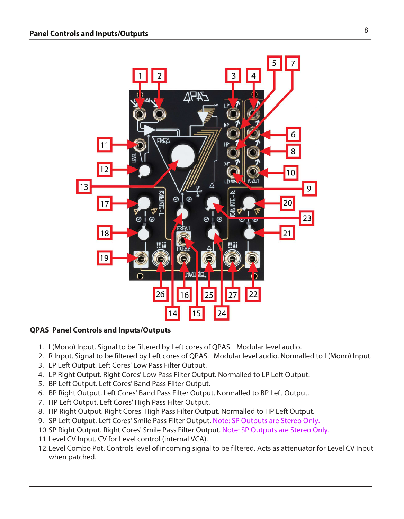

### **QPAS Panel Controls and Inputs/Outputs**

- 1. L(Mono) Input. Signal to be filtered by Left cores of QPAS. Modular level audio.
- 2. R Input. Signal to be filtered by Left cores of QPAS. Modular level audio. Normalled to L(Mono) Input.
- 3. LP Left Output. Left Cores' Low Pass Filter Output.
- 4. LP Right Output. Right Cores' Low Pass Filter Output. Normalled to LP Left Output.
- 5. BP Left Output. Left Cores' Band Pass Filter Output.
- 6. BP Right Output. Left Cores' Band Pass Filter Output. Normalled to BP Left Output.
- 7. HP Left Output. Left Cores' High Pass Filter Output.
- 8. HP Right Output. Right Cores' High Pass Filter Output. Normalled to HP Left Output.
- 9. SP Left Output. Left Cores' Smile Pass Filter Output. Note: SP Outputs are Stereo Only.
- 10.SP Right Output. Right Cores' Smile Pass Filter Output. Note: SP Outputs are Stereo Only.
- 11.Level CV Input. CV for Level control (internal VCA).
- 12.Level Combo Pot. Controls level of incoming signal to be filtered. Acts as attenuator for Level CV Input when patched.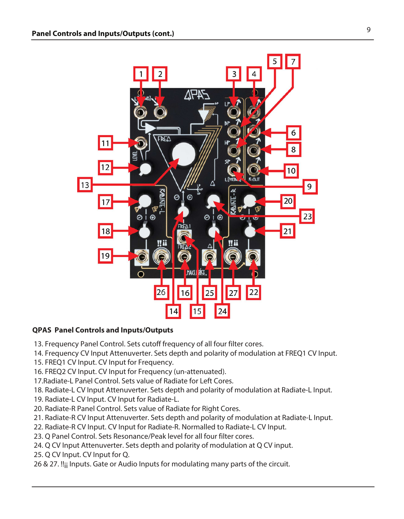

#### **QPAS Panel Controls and Inputs/Outputs**

- 13. Frequency Panel Control. Sets cutoff frequency of all four filter cores.
- 14. Frequency CV Input Attenuverter. Sets depth and polarity of modulation at FREQ1 CV Input.
- 15. FREQ1 CV Input. CV Input for Frequency.
- 16. FREQ2 CV Input. CV Input for Frequency (un-attenuated).
- 17.Radiate-L Panel Control. Sets value of Radiate for Left Cores.
- 18. Radiate-L CV Input Attenuverter. Sets depth and polarity of modulation at Radiate-L Input.
- 19. Radiate-L CV Input. CV Input for Radiate-L.
- 20. Radiate-R Panel Control. Sets value of Radiate for Right Cores.
- 21. Radiate-R CV Input Attenuverter. Sets depth and polarity of modulation at Radiate-L Input.
- 22. Radiate-R CV Input. CV Input for Radiate-R. Normalled to Radiate-L CV Input.
- 23. Q Panel Control. Sets Resonance/Peak level for all four filter cores.
- 24. Q CV Input Attenuverter. Sets depth and polarity of modulation at Q CV input.
- 25. Q CV Input. CV Input for Q.
- 26 & 27. !! $_{ii}$  Inputs. Gate or Audio Inputs for modulating many parts of the circuit.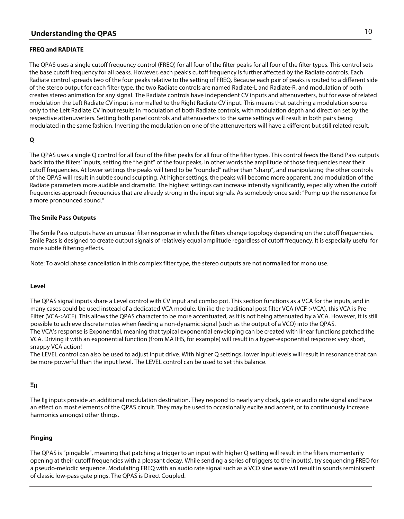#### **FREQ and RADIATE**

The QPAS uses a single cutoff frequency control (FREQ) for all four of the filter peaks for all four of the filter types. This control sets the base cutoff frequency for all peaks. However, each peak's cutoff frequency is further affected by the Radiate controls. Each Radiate control spreads two of the four peaks relative to the setting of FREQ. Because each pair of peaks is routed to a different side of the stereo output for each filter type, the two Radiate controls are named Radiate-L and Radiate-R, and modulation of both creates stereo animation for any signal. The Radiate controls have independent CV inputs and attenuverters, but for ease of related modulation the Left Radiate CV input is normalled to the Right Radiate CV input. This means that patching a modulation source only to the Left Radiate CV input results in modulation of both Radiate controls, with modulation depth and direction set by the respective attenuverters. Setting both panel controls and attenuverters to the same settings will result in both pairs being modulated in the same fashion. Inverting the modulation on one of the attenuverters will have a different but still related result.

#### **Q**

The QPAS uses a single Q control for all four of the filter peaks for all four of the filter types. This control feeds the Band Pass outputs back into the filters' inputs, setting the "height" of the four peaks, in other words the amplitude of those frequencies near their cutoff frequencies. At lower settings the peaks will tend to be "rounded" rather than "sharp", and manipulating the other controls of the QPAS will result in subtle sound sculpting. At higher settings, the peaks will become more apparent, and modulation of the Radiate parameters more audible and dramatic. The highest settings can increase intensity significantly, especially when the cutoff frequencies approach frequencies that are already strong in the input signals. As somebody once said: "Pump up the resonance for a more pronounced sound."

#### **The Smile Pass Outputs**

The Smile Pass outputs have an unusual filter response in which the filters change topology depending on the cutoff frequencies. Smile Pass is designed to create output signals of relatively equal amplitude regardless of cutoff frequency. It is especially useful for more subtle filtering effects.

Note: To avoid phase cancellation in this complex filter type, the stereo outputs are not normalled for mono use.

#### **Level**

The QPAS signal inputs share a Level control with CV input and combo pot. This section functions as a VCA for the inputs, and in many cases could be used instead of a dedicated VCA module. Unlike the traditional post filter VCA (VCF->VCA), this VCA is Pre-Filter (VCA->VCF). This allows the QPAS character to be more accentuated, as it is not being attenuated by a VCA. However, it is still possible to achieve discrete notes when feeding a non-dynamic signal (such as the output of a VCO) into the QPAS. The VCA's response is Exponential, meaning that typical exponential enveloping can be created with linear functions patched the VCA. Driving it with an exponential function (from MATHS, for example) will result in a hyper-exponential response: very short, snappy VCA action!

The LEVEL control can also be used to adjust input drive. With higher Q settings, lower input levels will result in resonance that can be more powerful than the input level. The LEVEL control can be used to set this balance.

#### **!!¡¡**

The !!¡¡ inputs provide an additional modulation destination. They respond to nearly any clock, gate or audio rate signal and have an effect on most elements of the QPAS circuit. They may be used to occasionally excite and accent, or to continuously increase harmonics amongst other things.

#### **Pinging**

The QPAS is "pingable", meaning that patching a trigger to an input with higher Q setting will result in the filters momentarily opening at their cutoff frequencies with a pleasant decay. While sending a series of triggers to the input(s), try sequencing FREQ for a pseudo-melodic sequence. Modulating FREQ with an audio rate signal such as a VCO sine wave will result in sounds reminiscent of classic low-pass gate pings. The QPAS is Direct Coupled.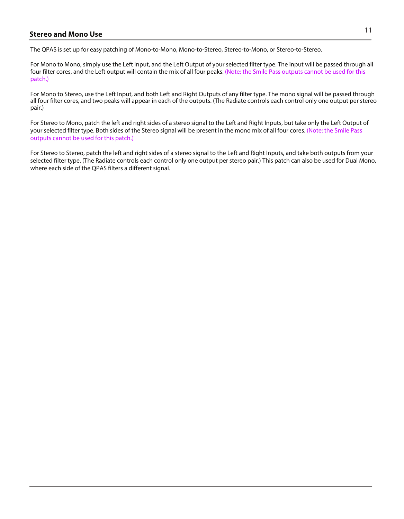# <sup>11</sup> **Stereo and Mono Use**

The QPAS is set up for easy patching of Mono-to-Mono, Mono-to-Stereo, Stereo-to-Mono, or Stereo-to-Stereo.

For Mono to Mono, simply use the Left Input, and the Left Output of your selected filter type. The input will be passed through all four filter cores, and the Left output will contain the mix of all four peaks. (Note: the Smile Pass outputs cannot be used for this patch.)

For Mono to Stereo, use the Left Input, and both Left and Right Outputs of any filter type. The mono signal will be passed through all four filter cores, and two peaks will appear in each of the outputs. (The Radiate controls each control only one output per stereo pair.)

For Stereo to Mono, patch the left and right sides of a stereo signal to the Left and Right Inputs, but take only the Left Output of your selected filter type. Both sides of the Stereo signal will be present in the mono mix of all four cores. (Note: the Smile Pass outputs cannot be used for this patch.)

For Stereo to Stereo, patch the left and right sides of a stereo signal to the Left and Right Inputs, and take both outputs from your selected filter type. (The Radiate controls each control only one output per stereo pair.) This patch can also be used for Dual Mono, where each side of the QPAS filters a different signal.